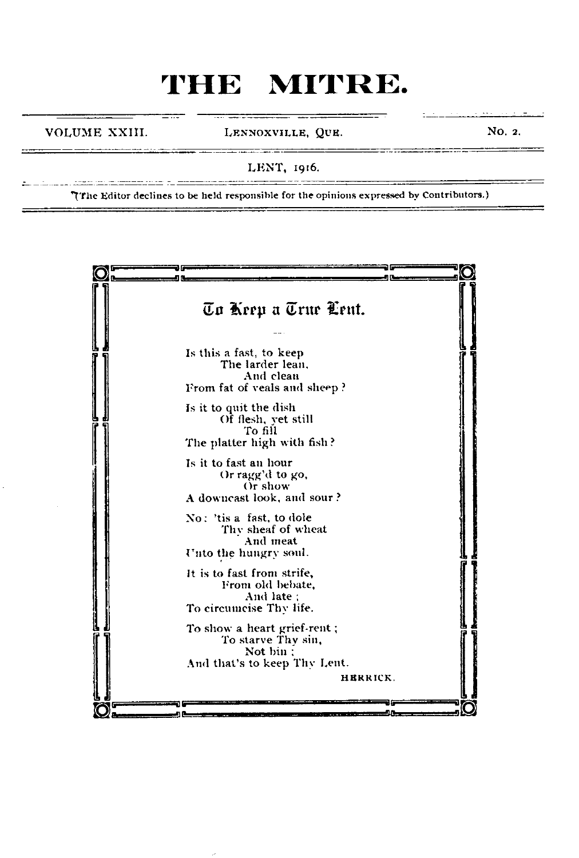VOLUME XXIII. LENNOXVILLE, QUE. NO. 2.

. . . . . . . . . . . . . . . .

LENT, 1916.

The Editor declines to be held responsible for the opinions expressed by Contributors.)

an di sebagai kecamatan dan pendapat kecamatan di sebagai kecamatan di sebagai kecamatan dan pendapat kecamata

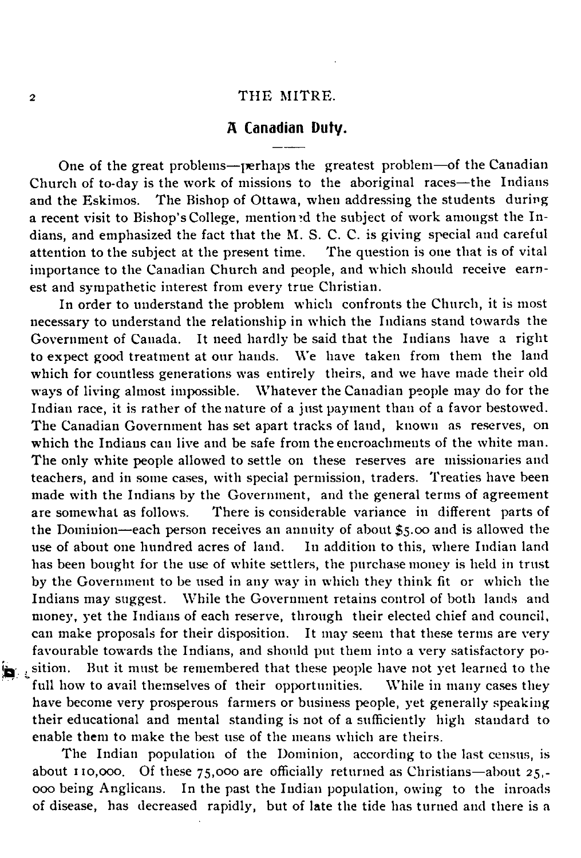### **A Canadian Duty.**

One of the great problems— perhaps the greatest problem— of the Canadian Church of to-day is the work of missions to the aboriginal races— the Indians and the Eskimos. The Bishop of Ottawa, when addressing the students during a recent visit to Bishop's College, mention'd the subject of work amongst the Indians, and emphasized the fact that the M. S. C. C. is giving special and careful attention to the subject at the present time. The question is one that is of vital importance to the Canadian Church and people, and which should receive earnest and sympathetic interest from every true Christian.

In order to understand the problem which confronts the Church, it is most necessary to understand the relationship in which the Indians stand towards the Government of Canada. It need hardly be said that the Indians have a right to expect good treatment at our hands. We have taken from them the land which for countless generations was entirely theirs, and we have made their old ways of living almost impossible. Whatever the Canadian people may do for the Indian race, it is rather of the nature of a just payment than of a favor bestowed. The Canadian Government has set apart tracks of land, known as reserves, on which the Indians can live and be safe from the encroachments of the white man. The only white people allowed to settle on these reserves are missionaries and teachers, and in some cases, with special permission, traders. Treaties have been made with the Indians by the Government, and the general terms of agreement are somewhat as follows. There is considerable variance in different parts of the Dominion— each person receives an annuity of about \$5.00 and is allowed the use of about one hundred acres of land. In addition to this, where Indian land has been bought for the use of white settlers, the purchase money is held in trust by the Government to be used in any way in which they think fit or which the Indians may suggest. While the Government retains control of both lands and money, yet the Indians of each reserve, through their elected chief and council, can make proposals for their disposition. It may seem that these terms are very favourable towards the Indians, and should put them into a very satisfactory po sition. But it must be remembered that these people have not yet learned to the full how to avail themselves of their opportunities. While in many cases they full how to avail themselves of their opportunities. have become very prosperous farmers or business people, yet generally speaking their educational and mental standing is not of a sufficiently high standard to enable them to make the best use of the means which are theirs.

The Indian population of the Dominion, according to the last census, is about 110,ooo. Of these 75,000 are officially returned as Christians— about 25,- 000 being Anglicans. In the past the Indian population, owing to the inroads of disease, has decreased rapidly, but of late the tide has turned and there is a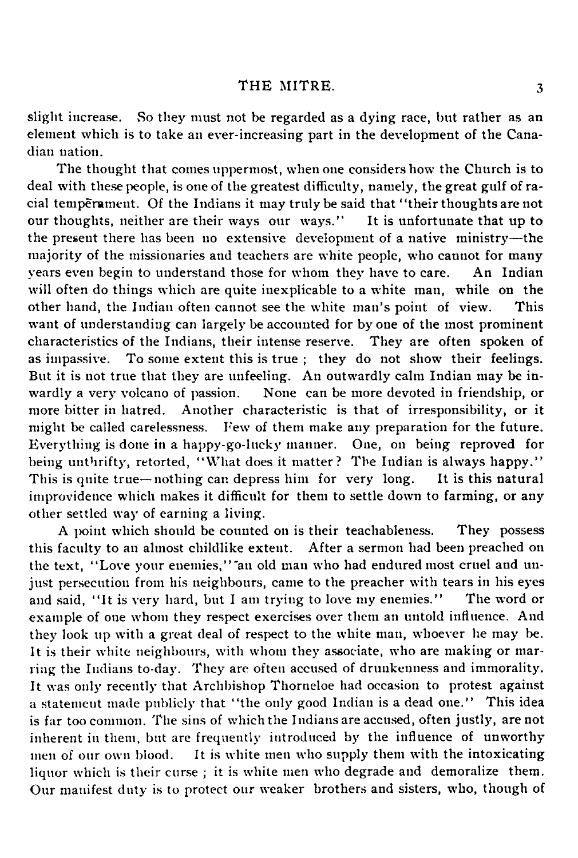slight increase. So they must not be regarded as a dying race, but rather as an element which is to take an ever-increasing part in the development of the Canadian nation.

The thought that comes uppermost, when one considers how the Church is to deal with these people, is one of the greatest difficulty, namely, the great gulf of racial temperament. Of the Indians it may truly be said that "their thoughts are not our thoughts, neither are their ways our ways." It is unfortunate that up to our thoughts, neither are their ways our ways." the present there has been no extensive development of a native ministry— the majority of the missionaries and teachers are white people, who cannot for many years even begin to understand those for whom they have to care. An Indian will often do things which are quite inexplicable to a white man, while on the other hand, the Indian often cannot see the white man's point of view. This want of understanding can largely be accounted for by one of the most prominent characteristics of the Indians, their intense reserve. They are often spoken of as impassive. To some extent this is true ; they do not show their feelings. But it is not true that they are unfeeling. An outwardly calm Indian may be inwardly a very volcano of passion. None can be more devoted in friendship, or more bitter in hatred. Another characteristic is that of irresponsibility, or it might be called carelessness. Few of them make any preparation for the future. Everything is done in a happy-go-lucky manner. One, on being reproved for being unthrifty, retorted, "What does it matter? The Indian is always happy."<br>This is quite true—nothing can depress him for very long. It is this natural This is quite true—nothing can depress him for very long. improvidence which makes it difficult for them to settle down to farming, or any other settled way of earning a living.

A point which should be counted on is their teachableness. They possess this faculty to an almost childlike extent. After a sermon had been preached on the text, "Love your enemies," an old man who had endured most cruel and unjust persecution from his neighbours, came to the preacher with tears in his eyes and said, " It is very hard, but I am trying to love my enemies." The word or example of one whom they respect exercises over them an untold influence. And they look up with a great deal of respect to the white man, whoever he may be. It is their white neighbours, with whom they associate, who are making or marring the Indians to-day. They are often accused of drunkenness and immorality. It was only recently that Archbishop Thorneloe had occasion to protest against a statement made publicly that "the only good Indian is a dead one." This idea is far too common. The sins of which the Indians are accused, often justly, are not inherent in them, but are frequently introduced by the influence of unworthy men of our own blood. It is white men who supply them with the intoxicating liquor which is their curse ; it is white men who degrade and demoralize them. Our manifest duty is to protect our weaker brothers and sisters, who, though of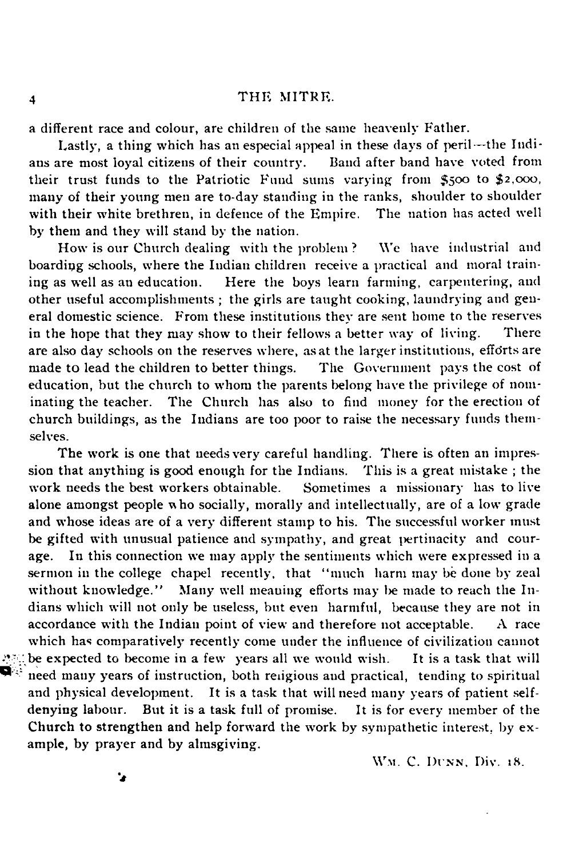a different race and colour, are children of the same heavenly Father.

Lastly, a thing which has an especial appeal in these days of peril—the Indi-<br>are most loyal citizens of their country. Band after band have voted from ans are most loyal citizens of their country. their trust funds to the Patriotic Fund sums varying from 5500 to *\$2,000,* many of their young men are to-day standing in the ranks, shoulder to shoulder with their white brethren, in defence of the Empire. The nation has acted well by them and they will stand by the nation.

How is our Church dealing with the problem ? We have industrial and boarding schools, where the Indian children receive a practical and moral train-<br>ing as well as an education. Here the boys learn farming, carpentering, and Here the boys learn farming, carpentering, and other useful accomplishments ; the girls are taught cooking, laundrying and gen eral domestic science. From these institutions they are sent home to the reserves in the hope that they may show to their fellows a better way of living. There are also day schools on the reserves where, as at the larger institutions, efforts are made to lead the children to better things. The Government pays the cost of made to lead the children to better things. education, but the church to whom the parents belong have the privilege of nominating the teacher. The Church has also to find money for the erection of church buildings, as the Indians are too poor to raise the necessary funds themselves.

The work is one that needs very careful handling. There is often an impression that anything is good enough for the Indians. This is a great mistake ; the work needs the best workers obtainable. Sometimes a missionary has to live alone amongst people who socially, morally and intellectually, are of a low grade and whose ideas are of a very different stamp to his. The successful worker must be gifted with unusual patience and sympathy, and great pertinacity and courage. In this connection we may apply the sentiments which were expressed in a sermon in the college chapel recently, that "much harm may be done by zeal without knowledge." Many well meaning efforts may be made to reach the Indians which will not only be useless, but even harmful, because they are not in accordance with the Indian point of view and therefore not acceptable. A race which has comparatively recently come under the influence of civilization cannot : be expected to become in a few years all we would wish. It is a task that will need many years of instruction, both religious and practical, tending to spiritual and physical development. It is a task that will need many years of patient selfdenying labour. But it is a task full of promise. It is for every member of the Church to strengthen and help forward the work by sympathetic interest, by example, by prayer and by almsgiving.

W.M. C. DUNN, Div. 18.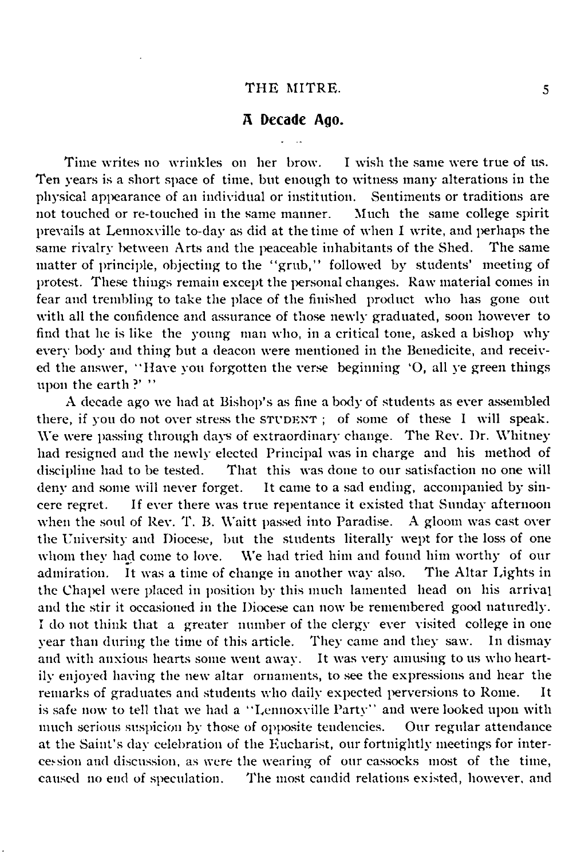### **A Decade Ago.**

Time writes no wrinkles on her brow. I wish the same were true of us. Ten years is a short space of time, but enough to witness many alterations in the physical appearance of an individual or institution. Sentiments or traditions are not touched or re-touched in the same manner. Much the same college spirit not touched or re-touched in the same manner. prevails at Lennoxville to-day as did at the time of when I write, and perhaps the same rivalry between Arts and the peaceable inhabitants of the Shed. matter of principle, objecting to the "grub," followed by students' meeting of protest. These things remain except the personal changes. Raw material comes in fear and trembling to take the place of the finished product who has gone out with all the confidence and assurance of those newly graduated, soon however to find that he is like the young man who, in a critical tone, asked a bishop why every body and thing but a deacon were mentioned in the Benedicite, and receiv ed the answer, " Have you forgotten the verse beginning 'O, all ye green things upon the earth?' "

A decade ago we had at Bishop's as fine a body of students as ever assembled there, if you do not over stress the STUDENT; of some of these I will speak. We were passing through days of extraordinary change. The Rev. Dr. Whitney had resigned and the newly elected Principal was in charge and his method of discipline had to be tested. That this was done to our satisfaction no one will deny and some will never forget. It came to a sad ending, accompanied by sin-It came to a sad ending, accompanied by sincere regret. If ever there was true repentance it existed that Sunday afternoon when the soul of Rev. T. B. Waitt passed into Paradise. A gloom was cast over when the soul of Rev. T. B. Waitt passed into Paradise. the University and Diocese, but the students literally wept for the loss of one whom they had come to love. We had tried him and found him worthy of our admiration. It was a time of change in another way also. The Altar Lights in the Chapel were placed in position by this much lamented head on his arrival and the stir it occasioned in the Diocese can now be remembered good naturedly. I do not think that a greater number of the clergy ever visited college in one year than during the time of this article. They came and they saw. In dismay and with anxious hearts some went away. It was very amusing to us who heartily enjoyed having the new altar ornaments, to see the expressions and hear the remarks of graduates and students who daily expected perversions to Rome. It is safe now to tell that we had a "Lennoxville Party" and were looked upon with much serious suspicion by those of opposite tendencies. Our regular attendance much serious suspicion by those of opposite tendencies. at the Saint's day celebration of the Eucharist, our fortnightly meetings for intersion and discussion, as were the wearing of our cassocks most of the time, caused no end of speculation. The most candid relations existed, however, and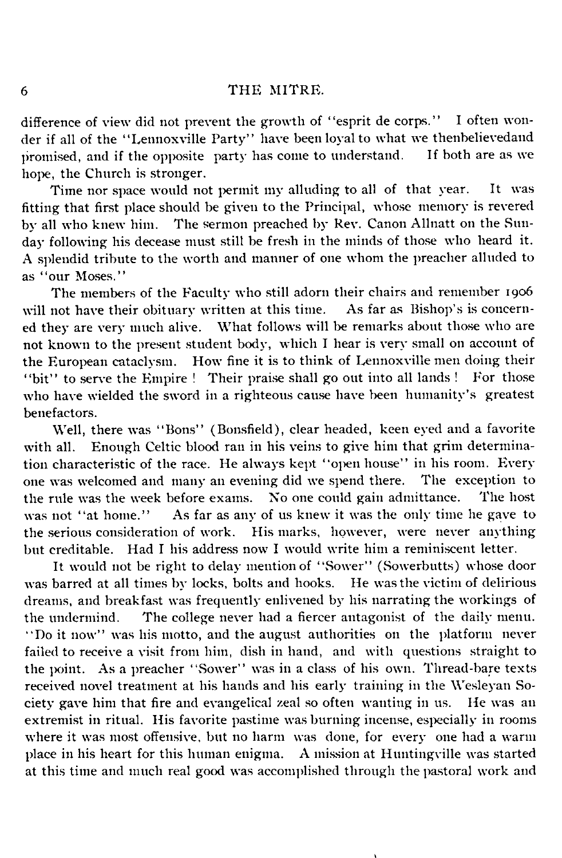difference of view did not prevent the growth of "esprit de corps." I often wonder if all of the "Lennoxville Party" have been loyal to what we then believed and if the opposite party has come to understand. If both are as we promised, and if the opposite party has come to understand. hope, the Church is stronger.

Time nor space would not permit my alluding to all of that year. It was fitting that first place should be given to the Principal, whose memory is revered by all who knew him. The sermon preached by Rev. Canon Allnatt on the Sunday following his decease must still be fresh in the minds of those who heard it. A splendid tribute to the worth and manner of one whom the preacher alluded to as "our Moses."

The members of the Faculty who still adorn their chairs and remember 1906<br>not have their obituary written at this time. As far as Bishop's is concernwill not have their obituary written at this time. ed they are very much alive. What follows will be remarks about those who are not known to the present student body, which I hear is very small on account of the European cataclysm. How fine it is to think of Lennoxville men doing their<br>"bit" to serve the Empire ! Their praise shall go out into all lands ! For those "bit" to serve the Empire ! Their praise shall go out into all lands ! who have wielded the sword in a righteous cause have been humanity's greatest benefactors.

Well, there was "Bons" (Bonsfield), clear headed, keen eyed and a favorite with all. Enough Celtic blood ran in his veins to give him that grim determination characteristic of the race. He always kept " open house" in his room. Every one was welcomed and many an evening did we spend there. The exception to the rule was the week before exams. No one could gain admittance. The host the rule was the week before exams. No one could gain admittance. The host was not "at home." As far as any of us knew it was the only time he gave to the serious consideration of work. His marks, however, were never anything but creditable. Had I his address now I would write him a reminiscent letter.

It would not be right to delay mention of "Sower" (Sowerbutts) whose door was barred at all times by locks, bolts and hooks. He was the victim of delirious dreams, and breakfast was frequently enlivened by his narrating the workings of the undermind. The college never had a fiercer antagonist of the daily menu. "Do it now" was his motto, and the august authorities on the platform never failed to receive a visit from him, dish in hand, and with questions straight to the point. As a preacher "Sower" was in a class of his own. Thread-bare texts received novel treatment at his hands and his early training in the Wesleyan Society gave him that fire and evangelical zeal so often wanting in us. He was an extremist in ritual. His favorite pastime was burning incense, especially in rooms where it was most offensive, but no harm was done, for every one had a warm place in his heart for this human enigma. A mission at Huntingville was started at this time and much real good was accomplished through the pastoral work and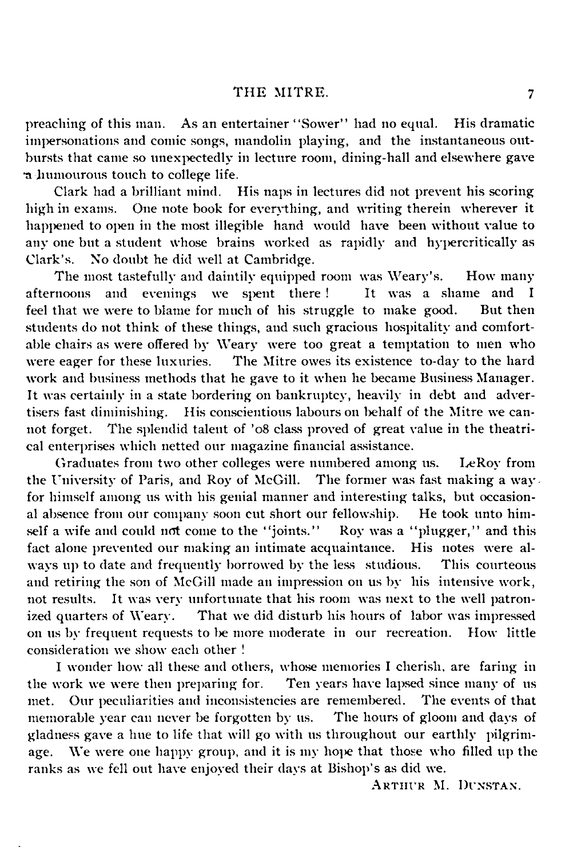preaching of this man. As an entertainer "Sower" had no equal. His dramatic impersonations and comic songs, mandolin playing, and the instantaneous outbursts that came so unexpectedly in lecture room, dining-hall and elsewhere gave •a humourous touch to college life.

Clark had a brilliant mind. His naps in lectures did not prevent his scoring high in exams. One note book for everything, and writing therein wherever it happened to open in the most illegible hand would have been without value to any one but a student whose brains worked as rapidly and hypercritically as Clark's. No doubt he did well at Cambridge.

The most tastefully and daintily equipped room was Weary's. How many rnoons and evenings we spent there! It was a shame and I afternoons and evenings we spent there! feel that we were to blame for much of his struggle to make good. But then students do not think of these things, and such gracious hospitality and comfortable chairs as were offered by Weary were too great a temptation to men who were eager for these luxuries. The Mitre owes its existence to-day to the hard The Mitre owes its existence to-day to the hard work and business methods that he gave to it when he became Business Manager. It was certainly in a state bordering on bankruptcy, heavily in debt and advertisers fast diminishing. His conscientious labours on behalf of the Mitre we cannot forget. The splendid talent of '08 class proved of great value in the theatrical enterprises which netted our magazine financial assistance.

Graduates from two other colleges were numbered among us. LeRoy from the University of Paris, and Roy of McGill. The former was fast making a way for himself among us with his genial manner and interesting talks, but occasional absence from our company soon cut short our fellowship. He took unto himself a wife and could not come to the "joints." Roy was a "plugger," and this fact alone prevented our making an intimate acquaintance. His notes were always up to date and frequently borrowed by the less studious. This courteous and retiring the son of McGill made an impression on us by his intensive work, not results. It was very unfortunate that his room was next to the well patronized quarters of Weary. That we did disturb his hours of labor was impressed on us by frequent requests to be more moderate in our recreation. How little consideration we show each other !

I wonder how all these and others, whose memories I cherish, are faring in work we were then preparing for. Ten years have lapsed since many of us the work we were then preparing for. met. Our peculiarities and inconsistencies are remembered. The events of that memorable vear can never be forgotten by us. The hours of gloom and days of memorable year can never be forgotten by us. gladness gave a hue to life that will go with us throughout our earthly pilgrimage. We were one happy group, and it is my hope that those who filled up the ranks as we fell out have enjoyed their days at Bishop's as did we.

ARTHUR M. DUNSTAN.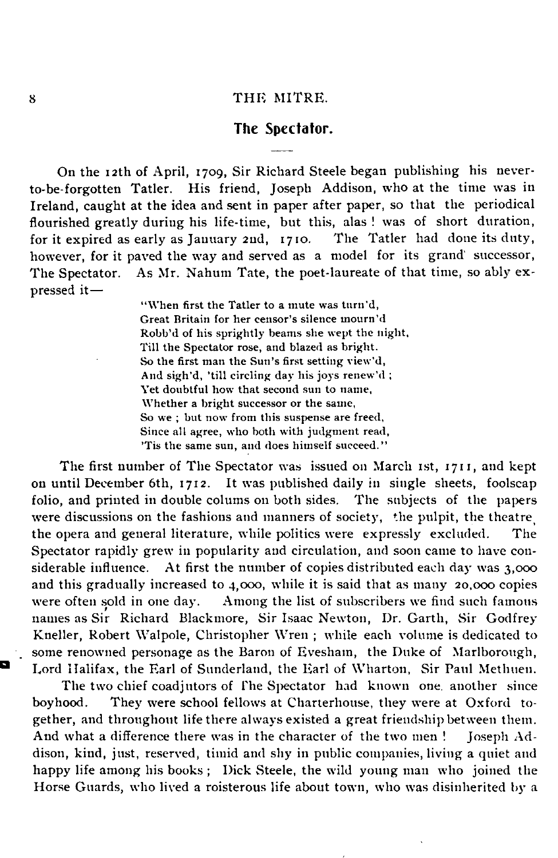### **The Spectator.**

On the 12th of April, 1709, Sir Richard Steele began publishing his neverto-be-forgotten Tatler. His friend, Joseph Addison, who at the time was in Ireland, caught at the idea and sent in paper after paper, so that the periodical flourished greatly during his life-time, but this, alas ! was of short duration, for it expired as early as January 2nd, 1710. The Tatler had done its duty, however, for it paved the way and served as a model for its grand' successor, The Spectator. As Mr. Nahum Tate, the poet-laureate of that time, so ably expressed it—

> "When first the Tatler to a mute was turn'd, Great Britain for her censor's silence mourn'd Robb'd of his sprightly beams she wept the night, Till the Spectator rose, and blazed as bright. So the first man the Sun's first setting view 'd, And sigh'd, 'till circling day his joys renew'd ; Yet doubtful how that second sun to name, Whether a bright successor or the same, So we ; but now from this suspense are freed, Since all agree, who both with judgment read, 'Tis the same sun, and does himself succeed."

The first number of The Spectator was issued on March 1st, 1711, and kept on until December 6th, 1712. It was published daily in single sheets, foolscap folio, and printed in double colums on both sides. The subjects of the papers were discussions on the fashions and manners of society, the pulpit, the theatre the opera and general literature, while politics were expressly excluded. The Spectator rapidly grew in popularity and circulation, and soon came to have considerable influence. At first the number of copies distributed each day was 3,000 and this gradually increased to 4,000, while it is said that as many 20,000 copies were often sold in one day. Among the list of subscribers we find such famous names as Sir Richard Blackmore, Sir Isaac Newton, Dr. Garth, Sir Godfrey Kneller, Robert Walpole, Christopher Wren ; while each volume is dedicated to some renowned personage as the Baron of Evesham, the Duke of Marlborough, Lord Halifax, the Earl of Sunderland, the Earl of Wharton, Sir Paul Methuen.

The two chief coadjutors of The Spectator had known one. another since boyhood. They were school fellows at Charterhouse, they were at Oxford together, and throughout life there always existed a great friendship between them. And what a difference there was in the character of the two men ! Joseph Addison, kind, just, reserved, timid and shy in public companies, living a quiet and happy life among his books ; Dick Steele, the wild young man who joined the Horse Guards, who lived a roisterous life about town, who was disinherited by a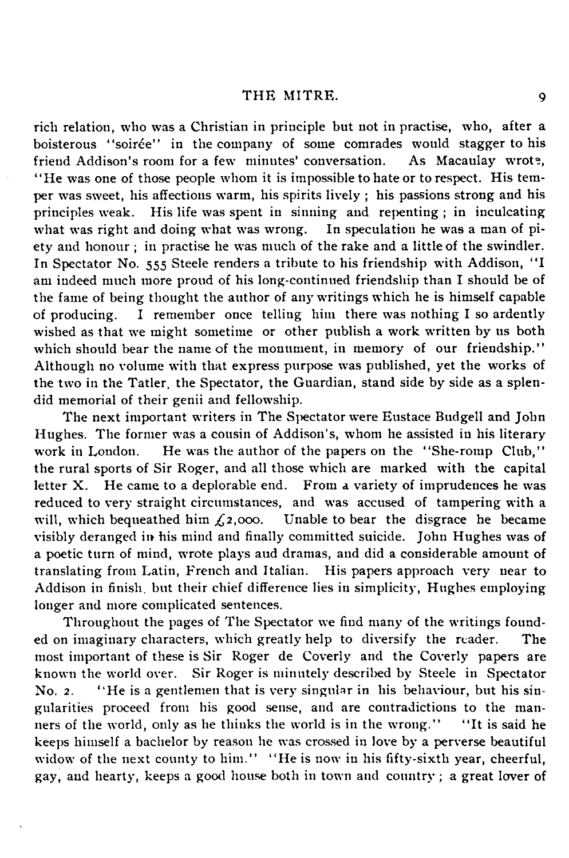rich relation, who was a Christian in principle but not in practise, who, after a boisterous "soirée" in the company of some comrades would stagger to his friend Addison's room for a few minutes' conversation. As Macaulay wrote, " He was one of those people whom it is impossible to hate or to respect. His temper was sweet, his affections warm, his spirits lively ; his passions strong and his principles weak. His life was spent in sinning and repenting; in inculcating what was right and doing what was wrong. In speculation he was a man of piwhat was right and doing what was wrong. ety and honour ; in practise he was much of the rake and a little of the swindler. In Spectator No. 555 Steele renders a tribute to his friendship with Addison, "I am indeed much more proud of his long-continued friendship than I should be of the fame of being thought the author of any writings which he is himself capable of producing. I remember once telling him there was nothing I so ardently wished as that we might sometime or other publish a work written by us both which should bear the name of the monument, in memory of our friendship." Although no volume with that express purpose was published, yet the works of the two in the Tatler, the Spectator, the Guardian, stand side by side as a splendid memorial of their genii and fellowship.

The next important writers in The Spectator were Eustace Budgell and John Hughes. The former was a cousin of Addison's, whom he assisted in his literary work in London. He was the author of the papers on the "She-romp Club," the rural sports of Sir Roger, and all those which are marked with the capital letter X. He came to a deplorable end. From a variety of imprudences he was reduced to very straight circumstances, and was accused of tampering with a will, which bequeathed him  $f_2$ ,000. Unable to bear the disgrace he became Unable to bear the disgrace he became visibly deranged in his mind and finally committed suicide. John Hughes was of a poetic turn of mind, wrote plays aud dramas, and did a considerable amount of translating from Latin, French and Italian. His papers approach very near to Addison in finish, but their chief difference lies in simplicity, Hughes employing longer and more complicated sentences.

Throughout the pages of The Spectator we find many of the writings founded on imaginary characters, which greatly help to diversify the reader. The most important of these is Sir Roger de Coverly and the Coverly papers are known the world over. Sir Roger is minutely described by Steele in Spectator No. 2. " He is a gentlemen that is very singular in his behaviour, but his sin gularities proceed from his good sense, and are contradictions to the manners of the world, only as he thinks the world is in the wrong." " It is said he keeps himself a bachelor by reason he was crossed in love by a perverse beautiful widow of the next county to him." "He is now in his fifty-sixth year, cheerful, gay, and hearty, keeps a good house both in town and country ; a great lover of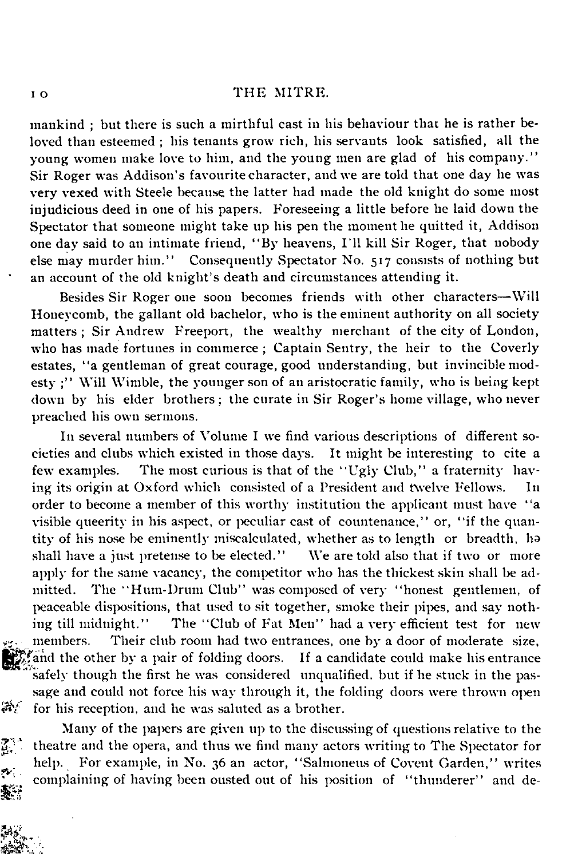mankind ; but there is such a mirthful east in his behaviour that he is rather be loved than esteemed ; his tenants grow rich, his servants look satisfied, all the young women make love to him, and the young men are glad of his company." Sir Roger was Addison's favourite character, and we are told that one day he was very vexed with Steele because the latter had made the old knight do some most injudicious deed in one of his papers. Foreseeing a little before he laid down the Spectator that someone might take up his pen the moment he quitted it, Addison one day said to an intimate friend, "By heavens, I'll kill Sir Roger, that nobody else may murder him." Consequently Spectator No. 517 consists of nothing but Consequently Spectator No. 517 consists of nothing but an account of the old knight's death and circumstances attending it.

Besides Sir Roger one soon becomes friends with other characters— Will Honeycomb, the gallant old bachelor, who is the eminent authority on all society matters ; Sir Andrew Freeport, the wealthy merchant of the city of London, who has made fortunes in commerce ; Captain Sentry, the heir to the Coverly estates, "a gentleman of great courage, good understanding, but invincible modesty :" Will Wimble, the younger son of an aristocratic family, who is being kept down by his elder brothers ; the curate in Sir Roger's home village, who never preached his own sermons.

In several numbers of Volume I we find various descriptions of different so cieties and clubs which existed in those days. It might be interesting to cite a few examples. The most curious is that of the " Ugly Club," a fraternity hav ing its origin at Oxford which consisted of a President and twelve Fellows. In order to become a member of this worthy institution the applicant must have " a visible queerity in his aspect, or peculiar cast of countenance," or, "if the quantity of his nose be eminently miscalculated, whether as to length or breadth, ha shall have a just pretense to be elected." We are told also that if two or more apply for the same vacancy, the competitor who has the thickest skin shall be admitted. The "Hum-Drum Club" was composed of very "honest gentlemen, of peaceable dispositions, that used to sit together, smoke their pipes, and say nothing till midnight." The " Club of Fat Men" had a very efficient test for new members. Their club room had two entrances, one by a door of moderate size, and the other by a pair of folding doors. If a candidate could make his entrance safely though the first he was considered unqualified, but if he stuck in the passage and could not force his way through it, the folding doors were thrown open for his reception, and he was saluted as a brother.

Many of the papers are given up to the discussing of questions relative to the theatre and the opera, and thus we find many actors writing to The Spectator for help. For example, in No. 36 an actor, "Salmoneus of Covent Garden," writes complaining of having been ousted out of his position of "thunderer" and de-鏊

涂.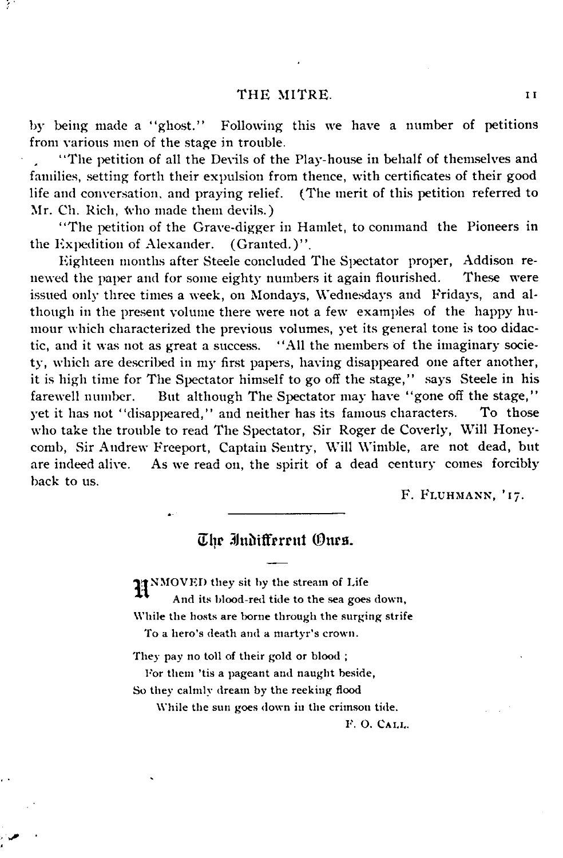31

by being made a "ghost." Following this we have a number of petitions from various men of the stage in trouble.

" The petition of all the Devils of the Play-house in behalf of themselves and families, setting forth their expulsion from thence, with certificates of their good life and conversation, and praying relief. (The merit of this petition referred to Mr. Ch. Rich, who made them devils.)

" The petition of the Grave-digger in Hamlet, to command the Pioneers in the Expedition of Alexander. (Granted.)".

Eighteen months after Steele concluded The Spectator proper, Addison renewed the paper and for some eighty numbers it again flourished. These were issued only three times a week, on Mondays, Wednesdays and Fridays, and although in the present volume there were not a few examples of the happy humour which characterized the previous volumes, yet its general tone is too didactic, and it was not as great a success. " All the members of the imaginary society, which are described in my first papers, having disappeared one after another, it is high time for The Spectator himself to go off the stage," says Steele in his farewell number. But although The Spectator may have "gone off the stage," yet it has not " disappeared," and neither has its famous characters. To those who take the trouble to read The Spectator, Sir Roger de Coverly, Will Honey comb, Sir Andrew Freeport, Captain Sentry, Will Wimble, are not dead, but are indeed alive. As we read on, the spirit of a dead century comes forcibly back to us.

F. FLUHMANN, '17.

### The Indifferent Ones

IT NMOVED they sit by the stream of Life

And its blood-red tide to the sea goes down. While the hosts are borne through the surging strife

To a hero's death and a martyr's crown.

They pay no toll of their gold or blood ;

For them 'tis a pageant and naught beside, So they calmly dream by the reeking flood

While the sun goes down in the crimson tide.

F. O. CALL.

11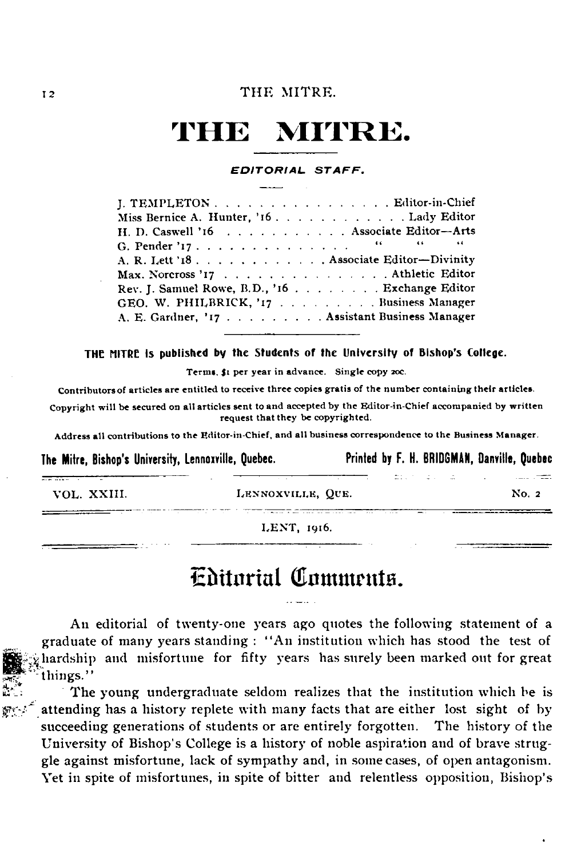### **THE MITRE.**

#### *EDITORIAL S T A F F .*

| J. TEMPLETON Editor-in-Chief                   |
|------------------------------------------------|
| Miss Bernice A. Hunter, '16. Lady Editor       |
| H. D. Caswell '16 Associate Editor-Arts        |
|                                                |
| A. R. Lett '18. Associate Editor-Divinity      |
| Max. Norcross '17 Athletic Editor              |
| Rev. J. Samuel Rowe, B.D., '16 Exchange Editor |
| GEO. W. PHILBRICK, '17 Business Manager        |
| A. E. Gardner, '17 Assistant Business Manager  |

#### THE MITRE is published by the Students of the University of Bishop's College.

Terms, \$1 per year in advance. Single copy 20c.

Contributors of articles are entitled to receive three copies gratis of the number containing their articles.

Copyright will be secured on all articles sent to and accepted by the Editor-in-Chief accompanied by written request that they be copyrighted.

Address all contributions to the Editor-in-Chief, and all business correspondence to the Business Manager.

**The Mitre, Bishop's University, Lennoxville, Quebec. Printed by F. H. BRIDGMAN, Danville, Quebec**

ander de la Sal

|  | VOL. XXIII. |  |
|--|-------------|--|
|  |             |  |

LENNOXVILLE, QUE. No. 2

and t<del>he</del>e

LENT, 1916.

### Editorial Comments.

An editorial of twenty-one years ago quotes the following statement of a graduate of many years standing : "An institution which has stood the test of hardship and misfortune for fifty years has surely been marked out for great things."

The young undergraduate seldom realizes that the institution which he is attending has a history replete with many facts that are either lost sight of by succeeding generations of students or are entirely forgotten. The history of the University of Bishop's College is a history of noble aspiration and of brave strug gle against misfortune, lack of sympathy and, in some cases, of open antagonism. Yet in spite of misfortunes, in spite of bitter and relentless opposition, Bishop's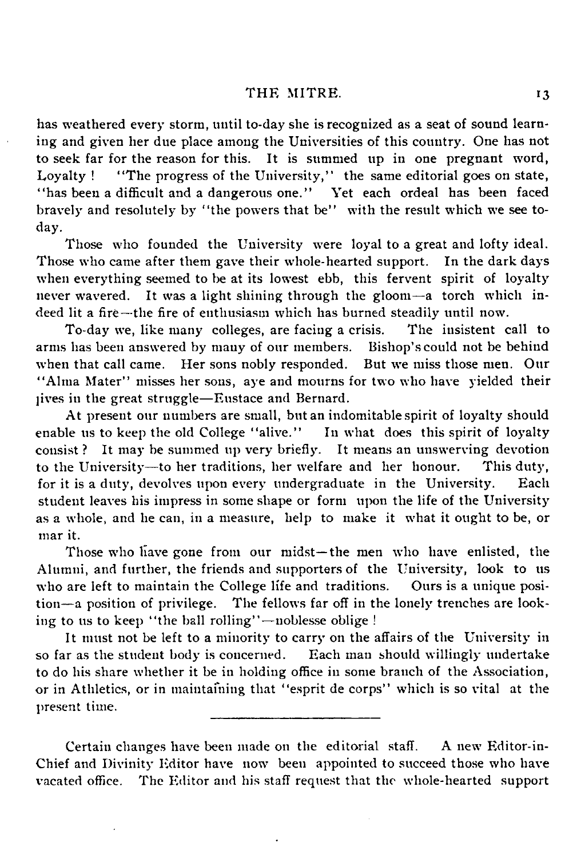has weathered every storm, until to-day she is recognized as a seat of sound learning and given her due place among the Universities of this country. One has not to seek far for the reason for this. It is summed up in one pregnant word, Loyalty ! "The progress of the University," the same editorial goes on state, "has been a difficult and a dangerous one." Yet each ordeal has been faced bravely and resolutely by "the powers that be" with the result which we see today.

Those who founded the University were loyal to a great and lofty ideal. Those who came after them gave their whole-hearted support. In the dark days when everything seemed to be at its lowest ebb, this fervent spirit of loyalty never wavered. It was a light shining through the gloom—a torch which indeed lit a fire— the fire of enthusiasm which has burned steadily until now.

To-day we, like many colleges, are facing a crisis. The insistent call to arms has been answered by many of our members. Bishop's could not be behind when that call came. Her sons nobly responded. But we miss those men. Our " Alma Mater" misses her sons, aye and mourns for two who have yielded their ]ives in the great struggle— Eustace and Bernard.

At present our numbers are small, but an indomitable spirit of loyalty should<br>le us to keep the old College "alive." In what does this spirit of loyalty enable us to keep the old College "alive." consist ? It may be summed up very briefly. It means an unswerving devotion to the University— to her traditions, her welfare and her honour. This duty, for it is a duty, devolves upon every undergraduate in the University. Each student leaves his impress in some shape or form upon the life of the University as a whole, and he can, in a measure, help to make it what it ought to be, or mar it.

Those who have gone from our midst— the men who have enlisted, the Alumni, and further, the friends and supporters of the University, look to us who are left to maintain the College life and traditions. Ours is a unique position— a position of privilege. The fellows far off in the lonely trenches are looking to us to keep "the ball rolling" — noblesse oblige !

It must not be left to a minority to carry on the affairs of the University in so far as the student body is concerned. Each man should willingly undertake to do his share whether it be in holding office in some branch of the Association, or in Athletics, or in maintaining that " esprit de corps" which is so vital at the present time.

Certain changes have been made on the editorial staff. A new Editor-in-Chief and Divinity Editor have now been appointed to succeed those who have vacated office. The Editor and his staff request that the whole-hearted support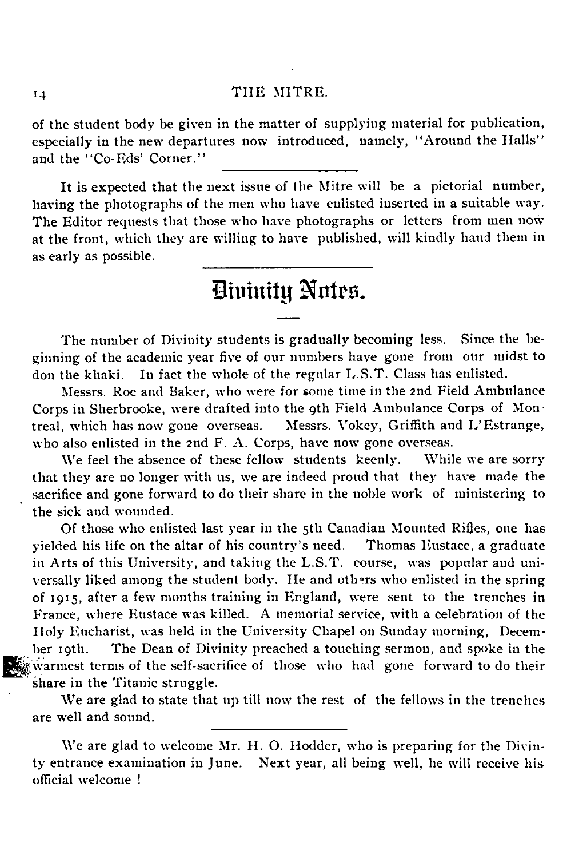of the student body be given in the matter of supplying material for publication, especially in the new departures now introduced, namely, " Around the Halls" and the "Co-Eds' Corner."

It is expected that the next issue of the Mitre will be a pictorial number, having the photographs of the men who have enlisted inserted in a suitable way. The Editor requests that those who have photographs or letters from men now at the front, which they are willing to have published, will kindly hand them in as early as possible.

### Divinity Notes.

The number of Divinity students is gradually becoming less. Since the beginning of the academic year five of our numbers have gone from our midst to don the khaki. In fact the whole of the regular L.S.T. Class has enlisted.

Messrs. Roe and Baker, who were for some time in the 2nd Field Ambulance Corps in Sherbrooke, were drafted into the 9th Field Ambulance Corps of Montreal, which has now gone overseas. Messrs. Vokey, Griffith and L'Estrange, who also enlisted in the 2nd F. A. Corps, have now gone overseas.

We feel the absence of these fellow students keenly. While we are sorry that they are no longer with us, we are indeed proud that they have made the sacrifice and gone forward to do their share in the noble work of ministering to the sick and wounded.

Of those who enlisted last year in the 5th Canadian Mounted Rifles, one has yielded his life on the altar of his country's need. Thomas Eustace, a graduate in Arts of this University, and taking the L.S.T, course, was popular and uni versally liked among the student body. He and others who enlisted in the spring of 1915, after a few months training in England, were sent to the trenches in France, where Eustace was killed. A memorial service, with a celebration of the Holy Eucharist, was held in the University Chapel on Sunday morning, December 19th. The Dean of Divinity preached a touching sermon, and spoke in the warmest terms of the self-sacrifice of those who had gone forward to do their share in the Titanic struggle.

We are glad to state that up till now the rest of the fellows in the trenches are well and sound.

We are glad to welcome Mr. H. O. Hodder, who is preparing for the Divinty entrance examination in June. Next year, all being well, he will receive his official welcome !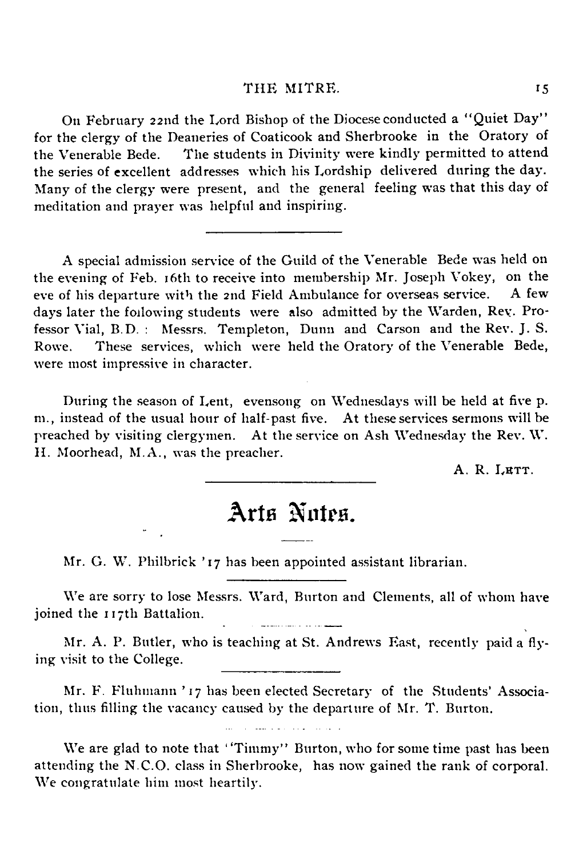On February 22nd the Lord Bishop of the Diocese conducted a " Quiet Day' ' for the clergy of the Deaneries of Coaticook and Sherbrooke in the Oratory of the Venerable Bede. The students in Divinity were kindly permitted to attend the series of excellent addresses which his Lordship delivered during the day. Many of the clergy were present, and the general feeling was that this day of meditation and prayer was helpful and inspiring.

A special admission service of the Guild of the Venerable Bede was held on the evening of Feb. 16th to receive into membership Mr. Joseph Vokey, on the eve of his departure with the 2nd Field Ambulance for overseas service. A few days later the following students were also admitted by the Warden, Rev. Professor Vial, B.D. : Messrs. Templeton, Dunn and Carson and the Rev. J. S. Rowe. These services, which were held the Oratory of the Venerable Bede, were most impressive in character.

During the season of Lent, evensong on Wednesdays will be held at five p. m., instead of the usual hour of half-past five. At these services sermons will be preached by visiting clergymen. At the service on Ash Wednesday the Rev. W. H. Moorhead, M.A., was the preacher.

A. R. LETT.

### Arts Notes.

Mr. G. W. Philbrick ' 17 has been appointed assistant librarian.

We are sorry to lose Messrs. Ward, Burton and Clements, all of whom have joined the 117th Battalion. 

Mr. A. P. Butler, who is teaching at St. Andrews East, recently paid a flying visit to the College.

Mr. F. Fluhmann ' 17 has been elected Secretary of the Students' Associa tion, thus filling the vacancy caused by the departure of Mr. T. Burton.

We are glad to note that "Timmy" Burton, who for some time past has been attending the N.C.O. class in Sherbrooke, has now gained the rank of corporal. We congratulate him most heartily.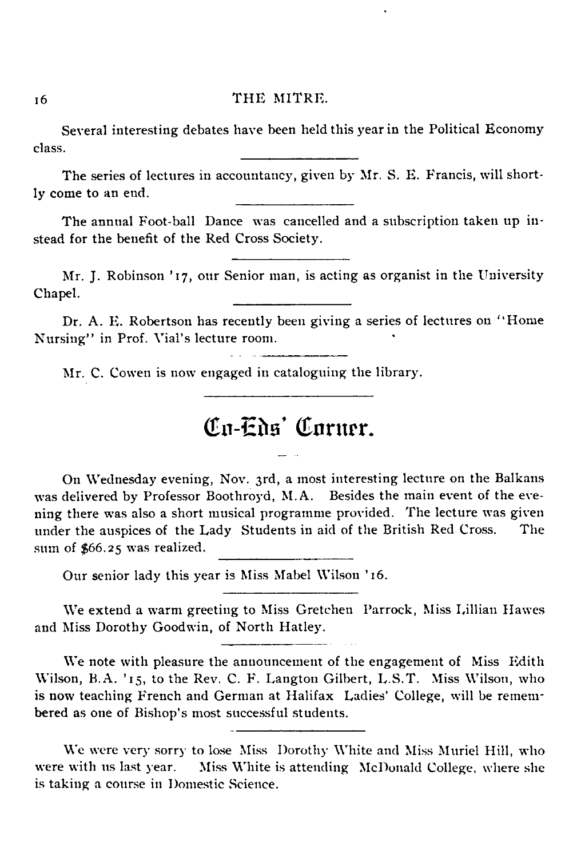Several interesting debates have been held this year in the Political Economy class.

The series of lectures in accountancy, given by Mr. S. E. Francis, will short ly come to an end.

The annual Foot-ball Dance was cancelled and a subscription taken up instead for the benefit of the Red Cross Society.

Mr. J. Robinson ' 17, our Senior man, is acting as organist in the University Chapel.

Dr. A. E. Robertson has recently been giving a series of lectures on " Home Nursing" in Prof. Vial's lecture room.

Mr. C. Cowen is now engaged in cataloguing the library.

### Co-Eds' Corner

On Wednesday evening, Nov. 3rd, a most interesting lecture on the Balkans was delivered by Professor Boothroyd, M.A. Besides the main event of the evening there was also a short musical programme provided. The lecture was given under the auspices of the Lady Students in aid of the British Red Cross. The sum of \$66.25 was realized.

Our senior lady this year is Miss Mabel Wilson '16.

We extend a warm greeting to Miss Gretchen Parrock, Miss Lillian Hawes and Miss Dorothy Goodwin, of North Hatley.

We note with pleasure the announcement of the engagement of Miss Edith Wilson, B.A. ' 15, to the Rev. C. F. Langton Gilbert, L.S.T. Miss Wilson, who is now teaching French and German at Halifax Ladies' College, will be remembered as one of Bishop's most successful students.

We were very sorry to lose Miss Dorothy White and Miss Muriel Hill, who were with us last year. Miss White is attending McDonald College, where she is taking a course in Domestic Science.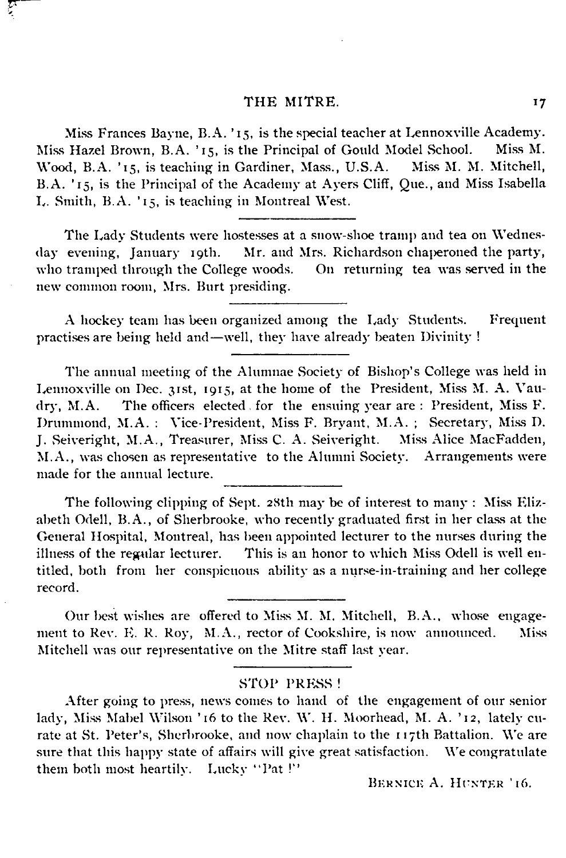Miss Frances Bayne, B.A. ' 15, is the special teacher at Lennoxville Academy. Miss Hazel Brown, B.A. ' 15, is the Principal of Gould Model School. Miss M. Wood, B.A. '15, is teaching in Gardiner, Mass., U.S.A. B.A. ' 15, is the Principal of the Academy at Ayers Cliff, Que., and Miss Isabella L. Smith, B.A. ' 15, is teaching in Montreal West.

The Lady Students were hostesses at a snow-shoe tramp and tea on Wednes-<br>day evening, January 19th. Mr. and Mrs. Richardson chaperoned the party, Mr. and Mrs. Richardson chaperoned the party,<br>e woods. On returning tea was served in the who tramped through the College woods. new common room, Mrs. Burt presiding.

A hockey team has been organized among the Lady Students. Frequent practises are being held and— well, they have already beaten Divinity !

The annual meeting of the Alumnae Society of Bishop's College was held in Lennoxville on Dec. 31st, 1915, at the home of the President, Miss M. A. Vau dry, M.A. The officers elected , for the ensuing year are : President, Miss F. Drummond, M.A. : Vice-President, Miss F. Bryant, M.A. ; Secretary, Miss D. J. Seiveright, M.A., Treasurer, Miss C. A. Seiveright. Miss Alice MacFadden, M.A., was chosen as representative to the Alumni Society. Arrangements were made for the annual lecture.

The following clipping of Sept. 2Sth may be of interest to many : Miss Eliz abeth Odell, B.A., of Sherbrooke, who recently graduated first in her class at the General Hospital, Montreal, has been appointed lecturer to the nurses during the illness of the regular lecturer. This is an honor to which Miss Odell is well en titled, both from her conspicuous ability as a nurse-in-training and her college record.

Our best wishes are offered to Miss M. M. Mitchell, B.A., whose engagement to Rev. E. R. Roy, M.A., rector of Cookshire, is now announced. Miss Mitchell was our representative on the Mitre staff last year.

### STOP PRESS !

After going to press, news comes to hand of the engagement of our senior lady, Miss Mabel Wilson '16 to the Rev. W. H. Moorhead, M. A. '12, lately curate at St. Peter's, Sherbrooke, and now chaplain to the 1 17th Battalion. We are sure that this happy state of affairs will give great satisfaction. We congratulate them both most heartily. Lucky " Pat !"

BERNICE A. HUNTER '16.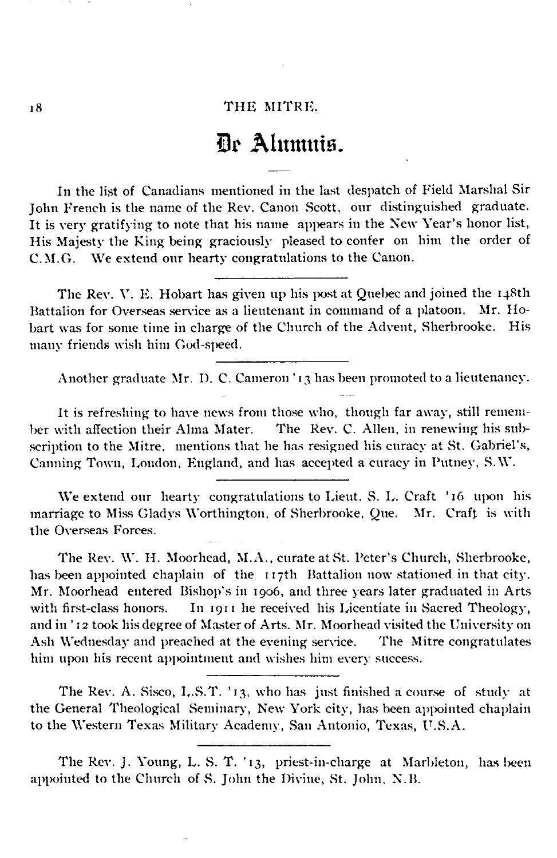### Dr Alumuis.

In the list of Canadians mentioned in the last despatch of Field Marshal Sir John French is the name of the Rev. Canon Scott, our distinguished graduate. It is very gratifying to note that his name appears in the New Year's honor list, His Majesty the King being graciously pleased to confer on him the order of C.M.G. We extend our hearty congratulations to the Canon.

The Rev. V. E. Hobart has given up his post at Quebec and joined the 148th<br>alion for Overseas service as a lieutenant in command of a platoon. Mr. Ho-Battalion for Overseas service as a lieutenant in command of a platoon. bart was for some time in charge of the Church of the Advent, Sherbrooke. His many friends wish him God-speed.

Another graduate Mr. D. C. Cameron ' 13 has been promoted to a lieutenancy.

It is refreshing to have news from those who, though far away, still remem-<br>ber with affection their Alma Mater. The Rev. C. Allen, in renewing his sub-The Rev. C. Allen, in renewing his subscription to the Mitre, mentions that he has resigned his curacy at St. Gabriel's, Canning Town, London, England, and has accepted a curacy in Putney, S.W.

We extend our hearty congratulations to Lieut. S. L. Craft ' 16 upon his marriage to Miss Gladys Worthington, of Sherbrooke, Que. Mr. Craft is with the Overseas Forces.

The Rev. W. H. Moorhead, M.A., curate at St. Peter's Church, Sherbrooke, has been appointed chaplain of the 117th Battalion now stationed in that city. Mr. Moorhead entered Bishop's in 1906, and three years later graduated in Arts with first-class honors. In 1911 he received his Licentiate in Sacred Theology, and in ' 12 took his degree of Master of Arts. Mr. Moorhead visited the University on Ash Wednesday and preached at the evening service. The Mitre congratulates him upon his recent appointment and wishes him every success.

The Rev. A. Sisco, L.S.T. ' 13, who has just finished a course of study at the General Theological Seminary, New York city, has been appointed chaplain to the Western Texas Military Academy, San Antonio, Texas, U.S.A.

The Rev. J. Young, L. S. T. ' 13, priest-in-charge at Marbleton, has been appointed to the Church of S. John the Divine, St. John, N.B.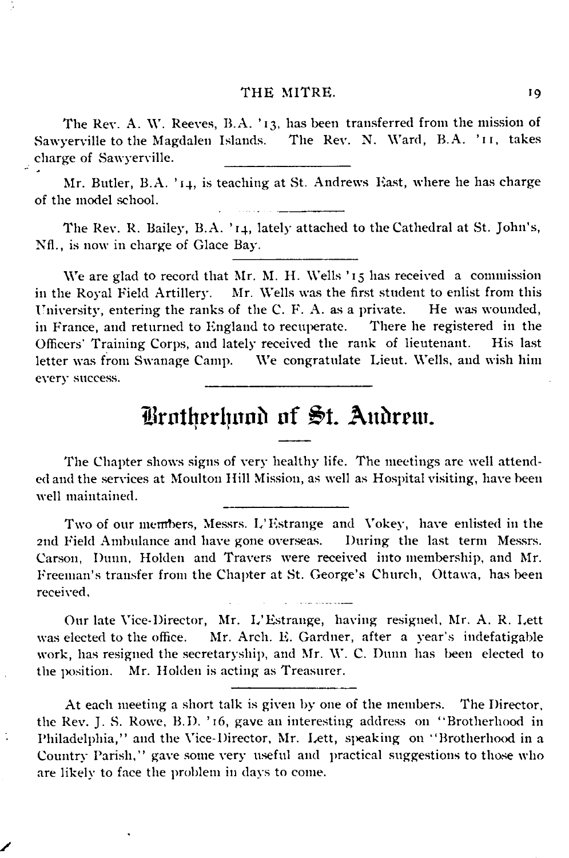The Rev. A. W. Reeves, B.A. '13, has been transferred from the mission of Sawyerville to the Magdalen Islands. The Rev. N. Ward, B.A. ' 11, takes charge of Sawyerville.

Mr. Butler, B.A. ' 14, is teaching at St. Andrews East, where he has charge of the model school.

The Rev. R. Bailey, B.A. ' 14, lately attached to the Cathedral at St. John's, Nfl., is now in charge of Glace Bay.

We are glad to record that Mr. M. H. Wells '15 has received a commission in the Royal Field Artillery. Mr. Wells was the first student to enlist from this University, entering the ranks of the C. F. A. as a private. He was wounded, in France, and returned to England to recuperate. There he registered in the Officers' Training Corps, and lately received the rank of lieutenant. His last letter was from Swanage Camp. We congratulate Lieut. Wells, and wish him every success.

### Brotherhood of St. Andrew.

The Chapter shows signs of very healthy life. The meetings are well attend ed and the services at Moulton Hill Mission, as well as Hospital visiting, have been well maintained.

Two of our members, Messrs. L'Estrange and Vokey, have enlisted in the 2nd Field Ambulance and have gone overseas. During the last term Messrs. Carson, Dunn, Holden and Travers were received into membership, and Mr. Freeman's transfer from the Chapter at St. George's Church, Ottawa, has been received.

Our late Vice-Director, Mr. L'Estrange, having resigned, Mr. A. R. Lett was elected to the office. Mr. Arch. E. Gardner, after a year's indefatigable work, has resigned the secretaryship, and Mr. W. C. Dunn has been elected to the position. Mr. Holden is acting as Treasurer.

At each meeting a short talk is given by one of the members. The Director, the Rev. J. S. Rowe, B.D. ' 16, gave an interesting address on " Brotherhood in Philadelphia," and the Vice-Director, Mr. Lett, speaking on "Brotherhood in a Country Parish," gave some very useful and practical suggestions to those who are likely to face the problem in days to come.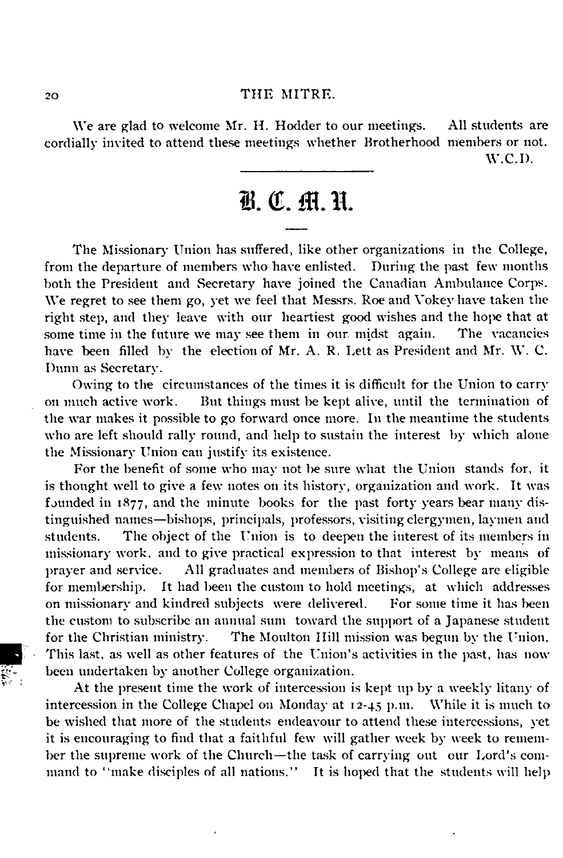We are glad to welcome Mr. H. Hodder to our meetings. All students are cordially invited to attend these meetings whether Brotherhood members or not. W .C.D.

### B. C. M. H.

The Missionary Union has suffered, like other organizations in the College, from the departure of members who have enlisted. During the past few months both the President and Secretary have joined the Canadian Ambulance Corps. We regret to see them go, yet we feel that Messrs. Roe and Vokey have taken the right step, and they leave with our heartiest good wishes and the hope that at some time in the future we may see them in our midst again. The vacancies have been filled by the election of Mr. A. R. Lett as President and Mr. W. C. Dunn as Secretary.

Owing to the circumstances of the times it is difficult for the Union to carry on much active work. But things must be kept alive, until the termination of the war makes it possible to go forward once more. In the meantime the students who are left should rally round, and help to sustain the interest by which alone the Missionary Union can justify its existence.

For the benefit of some who may not be sure what the Union stands for, it is thought well to give a few notes on its history, organization and work. It was founded in 1877, and the minute books for the past forty years bear many distinguished names—bishops, principals, professors, visiting clergymen, laymen and students. The object of the Union is to deepen the interest of its members in missionary work, and to give practical expression to that interest by means of prayer and service. All graduates and members of Bishop's College are eligible for membership. It had been the custom to hold meetings, at which addresses on missionary and kindred subjects were delivered. For some time it has been the custom to subscribe an annual sum toward the support of a Japanese student for the Christian ministry. The Moulton Hill mission was begun by the Union. This last, as well as other features of the Union's activities in the past, has now been undertaken by another College organization.

At the present time the work of intercession is kept up by a weekly litany of intercession in the College Chapel on Monday at 12-45 p.m. While it is much to be wished that more of the students endeavour to attend these intercessions, yet it is encouraging to find that a faithful few will gather week by week to remem ber the supreme work of the Church— the task of carrying out our Lord's com mand to "make disciples of all nations." It is hoped that the students will help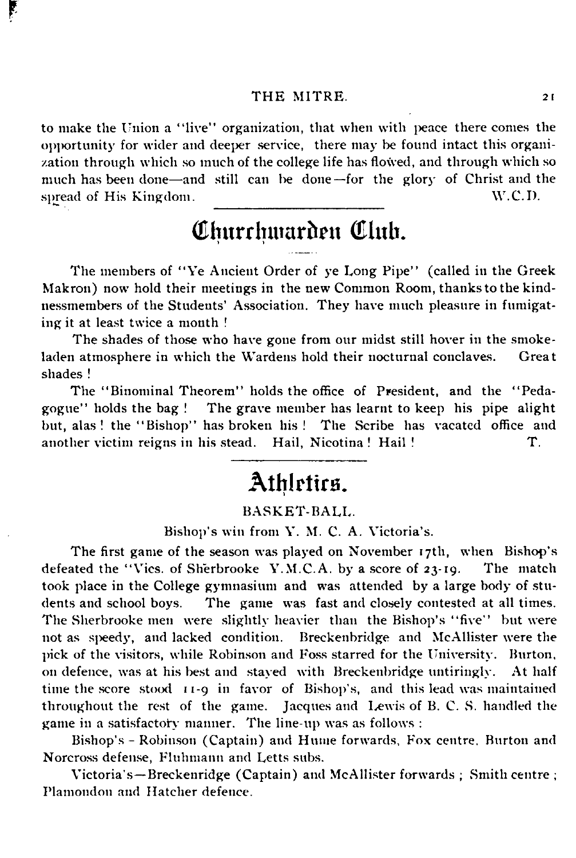ŗ

to make the Union a "live" organization, that when with peace there comes the opportunity for wider and deeper service, there may be found intact this organization through which so much of the college life has flowed, and through which so much has been done—and still can be done—for the glory of Christ and the spread of His Kingdom. W.C.D.

### Churchwarden Club.

The members of "Ye Ancient Order of ye Long Pipe" (called in the Greek Makron) now hold their meetings in the new Common Room, thanks to the kind nessmembers of the Students' Association. They have much pleasure in fumigating it at least twice a month !

The shades of those who have gone from our midst still hover in the smoke laden atmosphere in which the Wardens hold their nocturnal conclaves. Great shades !

The " Binominal Theorem" holds the office of President, and the " Peda gogue" holds the bag ! The grave member has learnt to keep his pipe alight but, alas ! the " Bishop" has broken his! The Scribe has vacated office and another victim reigns in his stead. Hail, Nicotina ! Hail ! T.

### Athletics.

### BA SK ET-BA LL.

Bishop's win from Y. M. C. A. Victoria's.

The first game of the season was played on November 17th, when Bishop's defeated the "Vics. of Sherbrooke Y.M.C.A, by a score of 23-19. The match took place in the College gymnasium and was attended by a large body of students and school boys. The game was fast and closely contested at all times. The Sherbrooke men were slightly heavier than the Bishop's " five" but were not as speedy, and lacked condition. Breckenbridge and McAllister were the pick of the visitors, while Robinson and Foss starred for the University. Burton, on defence, was at his best and stayed with Breckenbridge untiringly. At half time the score stood 11-9 in favor of Bishop's, and this lead was maintained throughout the rest of the game. Jacques and Lewis of B. C. S. handled the game in a satisfactory manner. The line-up was as follows :

Bishop's - Robinson (Captain) and Hume forwards, Fox centre. Burton and Norcross defense, Fluhmann and Letts subs.

Victoria's— Breckenridge (Captain) and McAllister forwards ; Smith centre ; Plamondon and Hatcher defence.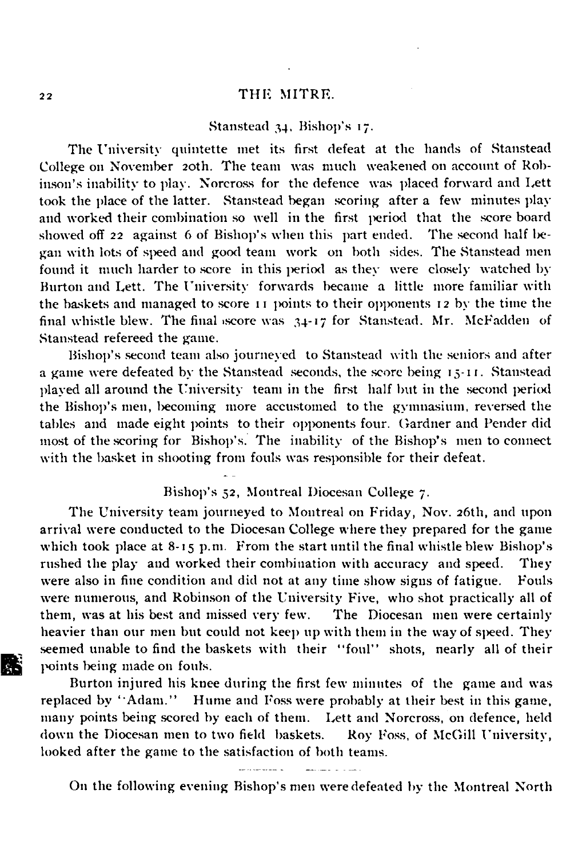### Stanstead 34, Bishop's 17.

The University quintette met its first defeat at the hands of Stanstead College on November 20th. The team was much weakened on account of Robinson's inability to play. Norcross for the defence was placed forward and Lett took the place of the latter. Stanstead began scoring after a few minutes play and worked their combination so well in the first period that the score board showed off 22 against 6 of Bishop's when this part ended. The second half be gan with lots of speed and good team work on both sides. The Stanstead men found it much harder to score in this period as they were closely watched by Burton and Lett. The University forwards became a little more familiar with the baskets and managed to score 11 points to their opponents 12 by the time the final whistle blew. The final score was 34-17 for Stanstead. Mr. McFadden of Stanstead refereed the game.

Bishop's second team also journeyed to Stanstead with the seniors and after a game were defeated by the Stanstead seconds, the score being 15-11. Stanstead played all around the University team in the first half but in the second period the Bishop's men, becoming more accustomed to the gymnasium, reversed the tables and made eight points to their opponents four. Gardner and Pender did most of the scoring for Bishop's. The inability of the Bishop's men to connect with the basket in shooting from fouls was responsible for their defeat.

### Bishop's 52, Montreal Diocesan College 7.

The University team journeyed to Montreal on Friday, Nov. 26th, and upon arrival were conducted to the Diocesan College where they prepared for the game which took place at 8-15 p.m. From the start until the final whistle blew Bishop's rushed the play and worked their combination with accuracy and speed. They were also in fine condition and did not at any time show signs of fatigue. Fouls were numerous, and Robinson of the University Five, who shot practically all of them, was at his best and missed very few. The Diocesan men were certainly heavier than our men but could not keep up with them in the way of speed. They seemed unable to find the baskets with their "foul" shots, nearly all of their points being made on fouls.

Burton injured his knee during the first few minutes of the game and was replaced by " Adam." Hume and Foss were probably at their best in this game, many points being scored by each of them. Lett and Norcross, on defence, held down the Diocesan men to two field baskets. Roy Foss, of McGill University, looked after the game to the satisfaction of both teams.

On the following evening Bishop's men were defeated by the Montreal North

雕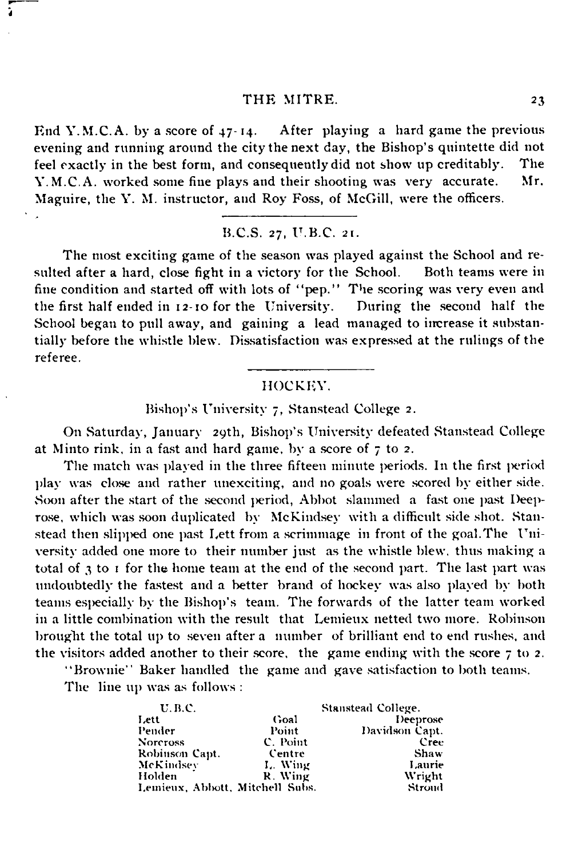End Y.M.C.A. by a score of  $47-14$ . After playing a hard game the previous evening and running around the city the next day, the Bishop's quintette did not feel exactly in the best form, and consequently did not show up creditably. The V M.C.A. worked some fine plays and their shooting was very accurate. Mr. Y. M.C. A. worked some fine plays and their shooting was very accurate. Maguire, the Y. M. instructor, and Roy Foss, of McGill, were the officers.

B.C.S. 27, U.B.C. 21.

The most exciting game of the season was played against the School and resulted after a hard, close fight in a victory for the School. Both teams were in fine condition and started off with lots of "pep." The scoring was very even and the first half ended in 12-10 for the University. During the second half the the first half ended in  $12-10$  for the University. School began to pull away, and gaining a lead managed to increase it substantially before the whistle blew. Dissatisfaction was expressed at the rulings of the referee.

### HOCKEY.

Bishop's University 7, Stanstead College 2.

On Saturday, January 29th, Bishop's University defeated Stanstead College at Minto rink, in a fast and hard game, by a score of 7 to 2.

The match was played in the three fifteen minute periods. In the first period play was close and rather unexciting, and no goals were scored by either side. Soon after the start of the second period, Abbot slammed a fast one past Deeprose, which was soon duplicated by McKindsey with a difficult side shot. Stanstead then slipped one past Lett from a scrimmage in front of the goal. The Uni versity added one more to their number just as the whistle blew, thus making a total of 3 to 1 for the home team at the end of the second part. The last part was undoubtedly the fastest and a better brand of hockey was also played by both teams especially by the Bishop's team. The forwards of the latter team worked in a little combination with the result that Lemieux netted two more. Robinson brought the total up to seven after a number of brilliant end to end rushes, and the visitors added another to their score, the game ending with the score 7 to 2.

"Brownie' ' Baker handled the game and gave satisfaction to both teams. The line up was as follows :

| <b>U.B.C.</b>                   | Stanstead College. |                |
|---------------------------------|--------------------|----------------|
| Lett                            | Goal               | Deeprose       |
| Pender                          | Point              | Davidson Capt. |
| <b>Norcross</b>                 | C. Point           | Cree           |
| Robinson Capt.                  | Centre             | Shaw           |
| McKindsey                       | L. Wing            | Laurie         |
| Holden                          | R. Wing            | <b>Wright</b>  |
| Lemieux, Abbott, Mitchell Subs. |                    | Stroud         |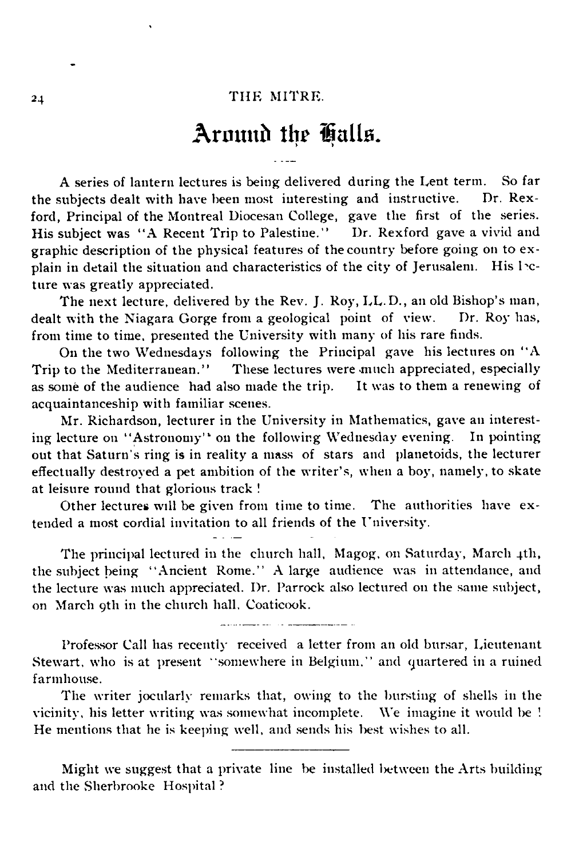### Around the Halls.

A series of lantern lectures is being delivered during the Lent term. So far the subjects dealt with have been most interesting and instructive. Dr. Rexford, Principal of the Montreal Diocesan College, gave the first of the series. His subject was "A Recent Trip to Palestine." Dr. Rexford gave a vivid and graphic description of the physical features of the country before going on to ex plain in detail the situation and characteristics of the city of Jerusalem. His lecture was greatly appreciated.

The next lecture, delivered by the Rev. J. Roy, LL.D., an old Bishop's man, dealt with the Niagara Gorge from a geological point of view. Dr. Roy has, from time to time, presented the University with many of his rare finds.

On the two Wednesdays following the Principal gave his lectures on ' 'A Trip to the Mediterranean." These lectures were much appreciated, especially as some of the audience had also made the trip. It was to them a renewing of acquaintanceship with familiar scenes.

Mr. Richardson, lecturer in the University in Mathematics, gave an interesting lecture on "Astronomy" on the following Wednesday evening. In pointing out that Saturn's ring is in reality a mass of stars and planetoids, the lecturer effectually destroyed a pet ambition of the writer's, when a boy, namely, to skate at leisure round that glorious track !

Other lectures will be given from time to time. The authorities have ex tended a most cordial invitation to all friends of the University.

The principal lectured in the church hall, Magog, on Saturday, March 4th, the subject being " Ancient Rome." A large audience was in attendance, and the lecture was much appreciated. Dr. Parrock also lectured on the same subject, on March oth in the church hall, Coaticook.

Professor Call has recently received a letter from an old bursar, Lieutenant Stewart, who is at present " somewhere in Belgium," and quartered in a ruined farmhouse.

The writer jocularly remarks that, owing to the bursting of shells in the vicinity, his letter writing was somewhat incomplete. We imagine it would be '. He mentions that he is keeping well, and sends his best wishes to all.

Might we suggest that a private line be installed between the Arts building and the Sherbrooke Hospital ?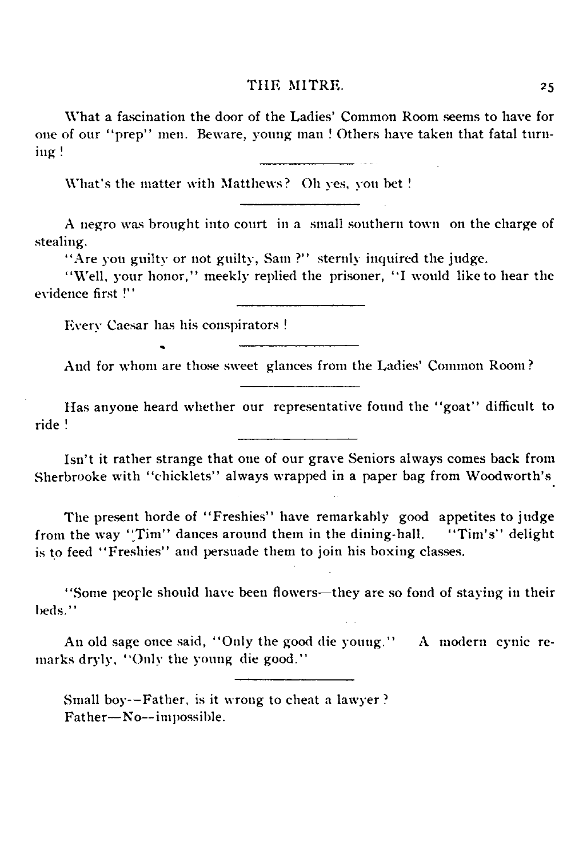What a fascination the door of the Ladies' Common Room seems to have for one of our " prep" men. Beware, young man ! Others have taken that fatal turn- $\log$ !

What's the matter with Matthews? Oh yes, you bet !

A negro was brought into court in a small southern town on the charge of stealing.

"Are you guilty or not guilty, Sam ?" sternly inquired the judge.

"Well, your honor," meekly replied the prisoner, "I would like to hear the evidence first !"

Every Caesar has his conspirators !

And for whom are those sweet glances from the Ladies' Common Room ?

Has anyone heard whether our representative found the "goat" difficult to ride !

Isn't it rather strange that one of our grave Seniors always comes back from Sherbrooke with "chicklets" always wrapped in a paper bag from Woodworth's

The present horde of "Freshies" have remarkably good appetites to judge from the way "Tim" dances around them in the dining-hall. "Tim's" delight is to feed " Freshies" and persuade them to join his boxing classes.

" Some people should have been flowers— they are so fond of staying in their beds."

An old sage once said, "Only the good die young." A modern cynic remarks dryly, "Only the young die good."

Small boy— Father, is it wrong to cheat a lawyer ? Father-No--impossible.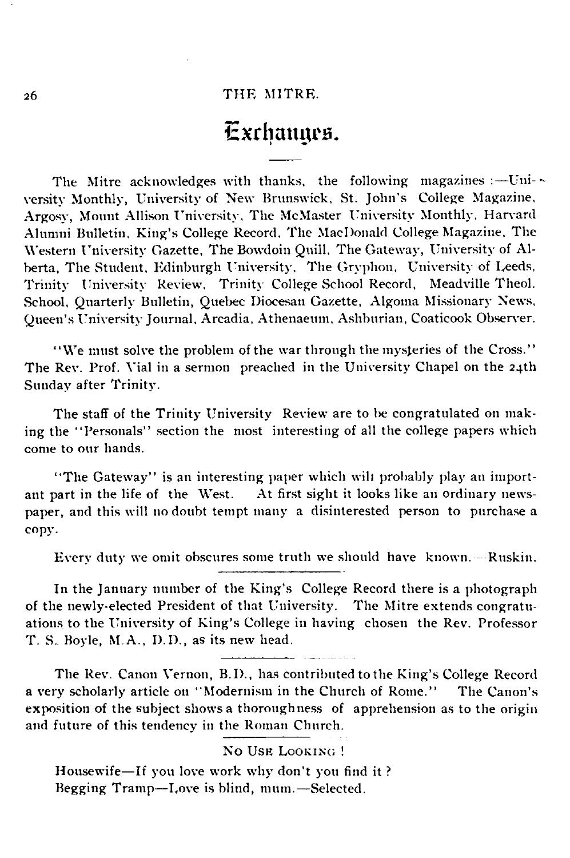### Exchanges.

The Mitre acknowledges with thanks, the following magazines :-- University Monthly, University of New Brunswick, St. John's College Magazine, Argosy, Mount Allison University, The McMaster University Monthly, Harvard Alumni Bulletin, King's College Record, The MacDonald College Magazine, The Western University Gazette, The Bowdoin Quill, The Gateway, University of Alberta, The Student, Edinburgh University, The Gryphon, University of Leeds, Trinity University Review. Trinity College School Record, Meadville Theol. School, Quarterly Bulletin, Quebec Diocesan Gazette, Algoma Missionary News, Queen's University Journal, Arcadia, Athenaeum, Ashburian, Coaticook Observer.

" We must solve the problem of the war through the mysteries of the Cross.' ' The Rev. Prof. Vial in a sermon preached in the University Chapel on the 24th Sunday after Trinity.

The staff of the Trinity University Review are to be congratulated on making the "Personals" section the most interesting of all the college papers which come to our hands.

"The Gateway" is an interesting paper which will probably play an important part in the life of the West. At first sight it looks like an ordinary newspaper, and this will no doubt tempt many a disinterested person to purchase a copy.

Every duty we omit obscures some truth we should have known. —Ruskin.

In the January number of the King's College Record there is a photograph of the newly-elected President of that University. The Mitre extends congratuations to the University of King's College in having chosen the Rev. Professor T. S. Boyle, M.A., D.D., as its new head.

The Rev. Canon Vernon, B.D., has contributed to the King's College Record a very scholarly article on ''Modernism in the Church of Rome." The Canon's exposition of the subject shows a thoroughness of apprehension as to the origin and future of this tendency in the Roman Church.

### NO USE LOOKING!

Housewife— If you love work why don't you find it ? Begging Tramp— Love is blind, mum.— Selected.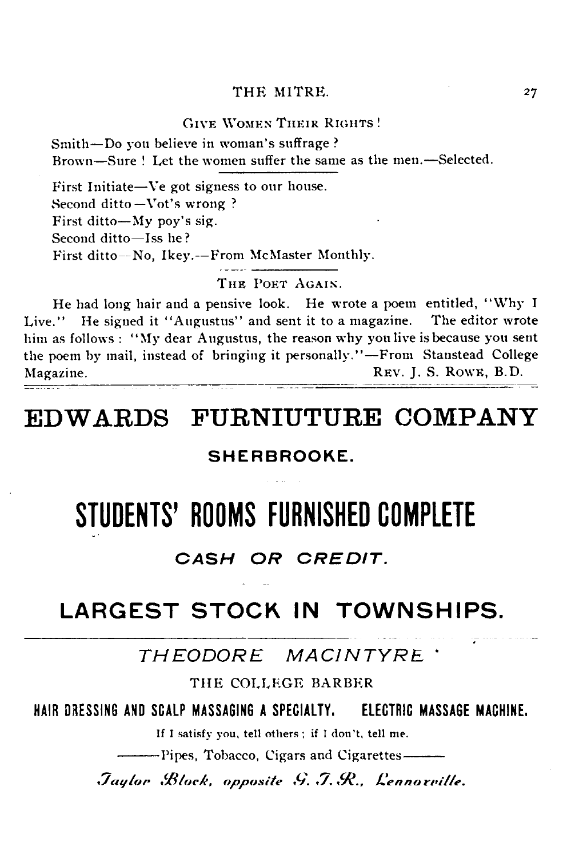#### GIVE WOMEN THEIR RIGHTS!

Smith— Do you believe in woman's suffrage ? Brown— Sure ! Let the women suffer the same as the men.— Selected.

First Initiate— Ve got signess to our house. Second ditto—Vot's wrong ? First ditto— My poy's sig. Second ditto-Iss he? First ditto— No, Ikey.— From McMaster Monthly.

THE POET AGAIN.

He had long hair and a pensive look. He wrote a poem entitled, " Why I Live." He signed it "Augustus" and sent it to a magazine. The editor wrote him as follows : " My dear Augustus, the reason why you live is because you sent the poem by mail, instead of bringing it personally." — From Stanstead College Magazine. The value of the set of the set of the REV. J. S. Rown, B.D.

### **EDWARDS FURNIUTURE COMPANY**

### SHERBROOKE.

### STUDENTS' ROOMS FURNISHED COMPLETE

### *CASH OR CREDIT.*

### LARGEST STOCK IN TOWNSHIPS.

*THEODORE MACINTYRE '*

THE COLLEGE BARBER

**HAIR DRESSING AND SCALP MASSAGING A SPECIALTY. ELECTRIC MASSAGE MACHINE.**

If I satisfy you, tell others ; if I don't, tell me.

--------Pipes, Tobacco, Cigars and Cigarettes--------

*.Taylor B lock, opposite G.J.R Lennoxville.*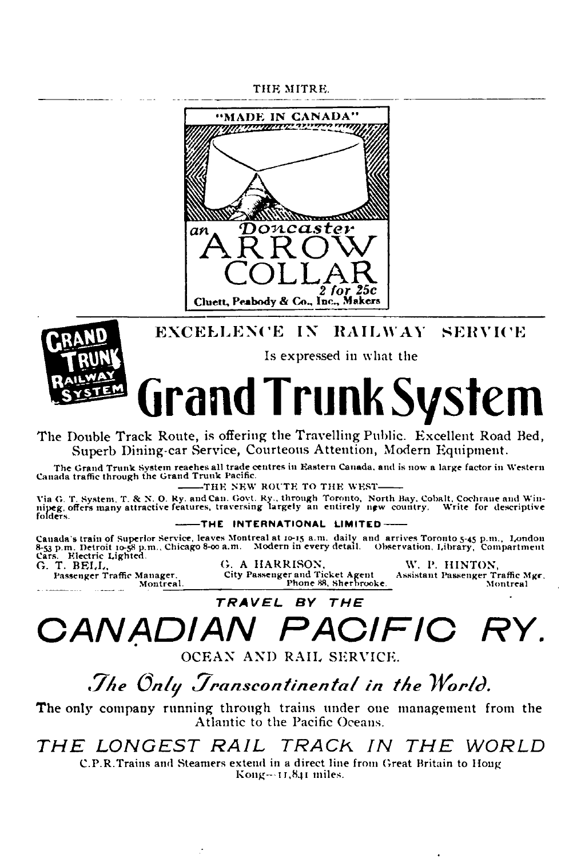THE MITRE.



### **EXCELLENCE IX RAILWAY SERVICE**



Is expressed in what the

# Grand Trunk System

The Double Track Route, is offering the Travelling Public. Excellent Road Bed, Superb Dining-car Service, Courteous Attention, Modern Equipment.

The Grand Trunk System reaches all trade centres in Eastern Canada, and is now a large factor in Western Canada<br>Canada traffic through the Grand Trunk Pacific.

--------T h e N E W R O U T E T O T h e W E S T -------- V ia G. T. System , T. & N. 0. R y. and Can. G ovt. R y., through Toronto, N orth Bay. C obalt, C ochran e and W in n ip eg. offers m any attra ctiv e features, traversin g la r g e ly an en tire ly new country. W rite for d escrip tive folders.

-THE INTERNATIONAL LIMITED-

Canada's train of Superlor Service, leaves Montreal at 10-15 a.m. daily and arrives Toronto 5-45 p.m., London<br>8-53 p.m., Detroit 10-58 p.m., Chicago 8-00 a.m. Modern in every detail. Observation, Library, Compartment<br>Ca. T

P assenger T raffic M anager. C ity P assenger and T ic k e t A gen t A ssistan t Pa ssen ger T raffic M gr. M ontreal. Phone 88, Sherb rooke. M ontreal

## *CANADIAN PACIFIC RY.*

*TR A V E L BY T H E*

OCEAN AND RAIL SERVICE.

*The Only Transcontinental in the World.* 

The only company running through trains under one management from the Atlantic to the Pacific Oceans.

*THE LONGEST RAIL TRACK IN THE WORLD*

C .P .R Trains and Steamers extend in a direct line from Great Britain to Houg  $Kong - 11,841$  miles.